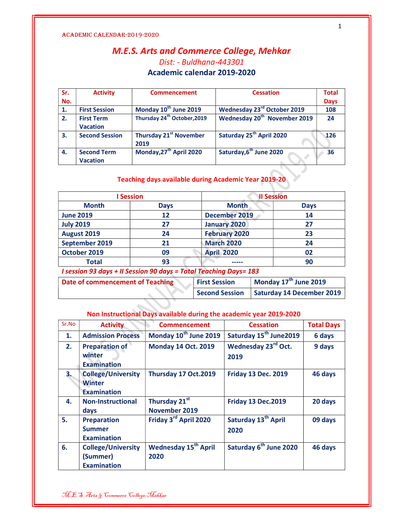## M.E.S. Arts and Commerce College, Mehkar Dist: - Buldhana-443301 Academic calendar 2019-2020

| Sr. | <b>Activity</b>                       | <b>Commencement</b>                     | <b>Cessation</b>                         | <b>Total</b> |
|-----|---------------------------------------|-----------------------------------------|------------------------------------------|--------------|
| No. |                                       |                                         |                                          | <b>Days</b>  |
| 1.  | <b>First Session</b>                  | Monday 10 <sup>th</sup> June 2019       | Wednesday 23rd October 2019              | 108          |
| 2.  | <b>First Term</b><br><b>Vacation</b>  | Thursday 24 <sup>th</sup> October, 2019 | Wednesday 20 <sup>th</sup> November 2019 | 24           |
| 3.  | <b>Second Session</b>                 | <b>Thursday 21st November</b><br>2019   | Saturday 25 <sup>th</sup> April 2020     | 126          |
| 4.  | <b>Second Term</b><br><b>Vacation</b> | Monday, 27 <sup>th</sup> April 2020     | Saturday, 6 <sup>th</sup> June 2020      | 36           |

### Teaching days available during Academic Year 2019-20

U

| <b>Session</b>   |             | <b>Il Session</b>    |             |
|------------------|-------------|----------------------|-------------|
| <b>Month</b>     | <b>Days</b> | <b>Month</b>         | <b>Days</b> |
| <b>June 2019</b> | 12          | December 2019        | 14          |
| <b>July 2019</b> | 27          | <b>January 2020</b>  | 27          |
| August 2019      | 24          | <b>February 2020</b> | 23          |
| September 2019   | 21          | <b>March 2020</b>    | 24          |
| October 2019     | 09          | <b>April 2020</b>    | 02          |
| <b>Total</b>     | 93          |                      | 90          |

I session 93 days + II Session 90 days = Total Teaching Days= 183

| Date of commencement of Teaching | <b>First Session</b> | Monday $17^{\text{th}}$ June 2019 |
|----------------------------------|----------------------|-----------------------------------|
|                                  | Second Session       | <b>Saturday 14 December 2019</b>  |

### Non Instructional Days available during the academic year 2019-2020

| Sr.No | <b>Activity</b>                                                  | <b>Commencement</b>                            | <b>Cessation</b>                        | <b>Total Days</b> |
|-------|------------------------------------------------------------------|------------------------------------------------|-----------------------------------------|-------------------|
| 1.    | <b>Admission Process</b>                                         | Monday 10 <sup>th</sup> June 2019              | Saturday 15 <sup>th</sup> June2019      | 6 days            |
| 2.    | <b>Preparation of</b><br>winter<br><b>Examination</b>            | <b>Monday 14 Oct. 2019</b>                     | Wednesday 23rd Oct.<br>2019             | 9 days            |
| 3.    | <b>College/University</b><br><b>Winter</b><br><b>Examination</b> | Thursday 17 Oct.2019                           | <b>Friday 13 Dec. 2019</b>              | 46 days           |
| 4.    | <b>Non-Instructional</b><br><b>days</b>                          | Thursday 21st<br>November 2019                 | <b>Friday 13 Dec.2019</b>               | 20 days           |
| 5.    | <b>Preparation</b><br><b>Summer</b><br><b>Examination</b>        | Friday 3rd April 2020                          | Saturday 13 <sup>th</sup> April<br>2020 | 09 days           |
| 6.    | <b>College/University</b><br>(Summer)<br><b>Examination</b>      | <b>Wednesday 15<sup>th</sup> April</b><br>2020 | Saturday 6 <sup>th</sup> June 2020      | 46 days           |

M.E.S. Arts & Commerce College,Mehkar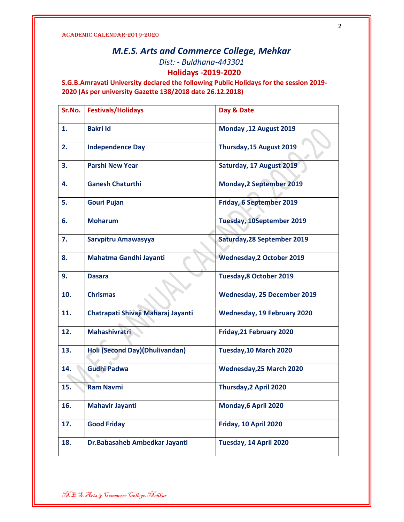# M.E.S. Arts and Commerce College, Mehkar Dist: - Buldhana-443301 Holidays -2019-2020

S.G.B.Amravati University declared the following Public Holidays for the session 2019- 2020 (As per university Gazette 138/2018 date 26.12.2018)

| Sr.No. | <b>Festivals/Holidays</b>          | Day & Date                         |
|--------|------------------------------------|------------------------------------|
| 1.     | <b>Bakri Id</b>                    | Monday ,12 August 2019             |
| 2.     | <b>Independence Day</b>            | Thursday, 15 August 2019           |
| 3.     | <b>Parshi New Year</b>             | Saturday, 17 August 2019           |
| 4.     | <b>Ganesh Chaturthi</b>            | <b>Monday, 2 September 2019</b>    |
| 5.     | <b>Gouri Pujan</b>                 | Friday, 6 September 2019           |
| 6.     | <b>Moharum</b>                     | <b>Tuesday, 10September 2019</b>   |
| 7.     | Sarvpitru Amawasyya                | <b>Saturday, 28 September 2019</b> |
| 8.     | Mahatma Gandhi Jayanti             | <b>Wednesday, 2 October 2019</b>   |
| 9.     | <b>Dasara</b>                      | <b>Tuesday, 8 October 2019</b>     |
| 10.    | <b>Chrismas</b>                    | <b>Wednesday, 25 December 2019</b> |
| 11.    | Chatrapati Shivaji Maharaj Jayanti | <b>Wednesday, 19 February 2020</b> |
| 12.    | <b>Mahashivratri</b>               | Friday, 21 February 2020           |
| 13.    | Holi (Second Day)(Dhulivandan)     | Tuesday, 10 March 2020             |
| 14.    | <b>Gudhi Padwa</b>                 | <b>Wednesday, 25 March 2020</b>    |
| 15.    | <b>Ram Navmi</b>                   | Thursday, 2 April 2020             |
| 16.    | <b>Mahavir Jayanti</b>             | Monday, 6 April 2020               |
| 17.    | <b>Good Friday</b>                 | Friday, 10 April 2020              |
| 18.    | Dr.Babasaheb Ambedkar Jayanti      | Tuesday, 14 April 2020             |

2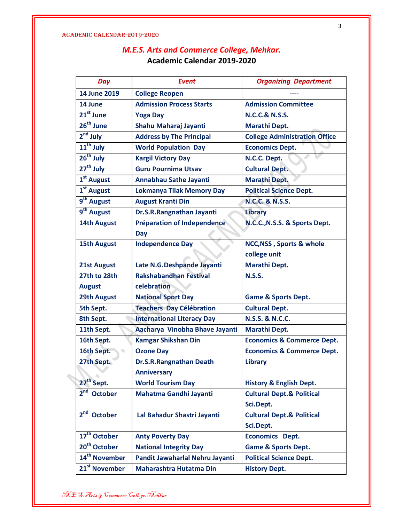# M.E.S. Arts and Commerce College, Mehkar. Academic Calendar 2019-2020

| Day                               | <b>Event</b>                      | <b>Organizing Department</b>          |
|-----------------------------------|-----------------------------------|---------------------------------------|
| 14 June 2019                      | <b>College Reopen</b>             |                                       |
| 14 June                           | <b>Admission Process Starts</b>   | <b>Admission Committee</b>            |
| 21 <sup>st</sup> June             | <b>Yoga Day</b>                   | <b>N.C.C.&amp; N.S.S.</b>             |
| $26th$ June                       | Shahu Maharaj Jayanti             | <b>Marathi Dept.</b>                  |
| $2nd$ July                        | <b>Address by The Principal</b>   | <b>College Administration Office</b>  |
| $11th$ July                       | <b>World Population Day</b>       | <b>Economics Dept.</b>                |
| 26 <sup>th</sup> July             | <b>Kargil Victory Day</b>         | N.C.C. Dept.                          |
| $27th$ July                       | <b>Guru Pournima Utsav</b>        | <b>Cultural Dept.</b>                 |
| 1 <sup>st</sup> August            | Annabhau Sathe Jayanti            | <b>Marathi Dept.</b>                  |
| 1 <sup>st</sup> August            | <b>Lokmanya Tilak Memory Day</b>  | <b>Political Science Dept.</b>        |
| 9 <sup>th</sup> August            | <b>August Kranti Din</b>          | <b>N.C.C. &amp; N.S.S.</b>            |
| 9 <sup>th</sup> August            | Dr.S.R.Rangnathan Jayanti         | <b>Library</b>                        |
| <b>14th August</b>                | Préparation of Independence       | N.C.C., N.S.S. & Sports Dept.         |
|                                   | <b>Day</b>                        |                                       |
| <b>15th August</b>                | <b>Independence Day</b>           | NCC, NSS, Sports & whole              |
|                                   |                                   | college unit                          |
| 21st August                       | Late N.G.Deshpande Jayanti        | <b>Marathi Dept.</b>                  |
| 27th to 28th                      | <b>Rakshabandhan Festival</b>     | <b>N.S.S.</b>                         |
| <b>August</b>                     | celebration                       |                                       |
| <b>29th August</b>                | <b>National Sport Day</b>         | <b>Game &amp; Sports Dept.</b>        |
| 5th Sept.                         | <b>Teachers Day Célébration</b>   | <b>Cultural Dept.</b>                 |
| 8th Sept.                         | <b>International Literacy Day</b> | <b>N.S.S. &amp; N.C.C.</b>            |
| 11th Sept.                        | Aacharya Vinobha Bhave Jayanti    | <b>Marathi Dept.</b>                  |
| 16th Sept.                        | <b>Kamgar Shikshan Din</b>        | <b>Economics &amp; Commerce Dept.</b> |
| 16th Sept.                        | <b>Ozone Day</b>                  | <b>Economics &amp; Commerce Dept.</b> |
| 27th Sept.                        | Dr.S.R.Rangnathan Death           | <b>Library</b>                        |
|                                   | <b>Anniversary</b>                |                                       |
| 27 <sup>th</sup> Sept.            | <b>World Tourism Day</b>          | <b>History &amp; English Dept.</b>    |
| 2 <sup>nd</sup><br><b>October</b> | Mahatma Gandhi Jayanti            | <b>Cultural Dept.&amp; Political</b>  |
|                                   |                                   | Sci.Dept.                             |
| 2 <sup>nd</sup> October           | Lal Bahadur Shastri Jayanti       | <b>Cultural Dept.&amp; Political</b>  |
|                                   |                                   | Sci.Dept.                             |
| 17 <sup>th</sup> October          | <b>Anty Poverty Day</b>           | <b>Economics Dept.</b>                |
| 20 <sup>th</sup> October          | <b>National Integrity Day</b>     | <b>Game &amp; Sports Dept.</b>        |
| 14 <sup>th</sup> November         | Pandit Jawaharlal Nehru Jayanti   | <b>Political Science Dept.</b>        |
| 21 <sup>st</sup> November         | Maharashtra Hutatma Din           | <b>History Dept.</b>                  |

M.E.S. Arts & Commerce College,Mehkar